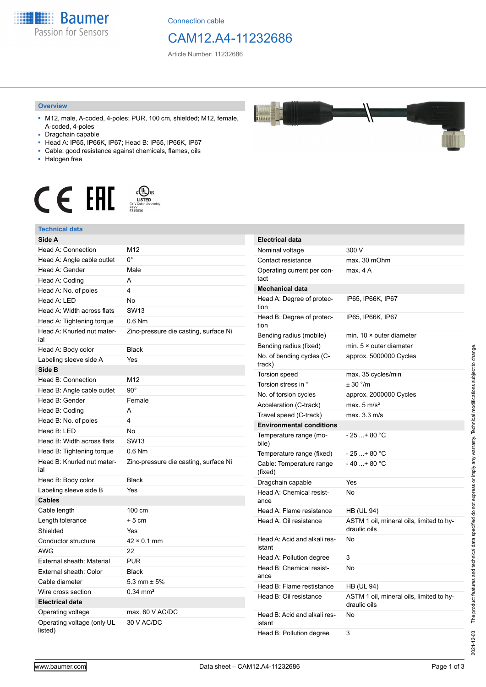

Connection cable

# CAM12.A4-11232686

Article Number: 11232686

### **Overview**

- M12, male, A-coded, 4-poles; PUR, 100 cm, shielded; M12, female, A-coded, 4-poles
- Dragchain capable
- Head A: IP65, IP66K, IP67; Head B: IP65, IP66K, IP67
- Cable: good resistance against chemicals, flames, oils
- Halogen free



#### **Technical data**

| Technical data                        |                                       |
|---------------------------------------|---------------------------------------|
| Side A                                |                                       |
| Head A: Connection                    | M12                                   |
| Head A: Angle cable outlet            | $0^{\circ}$                           |
| Head A: Gender                        | Male                                  |
| Head A: Coding                        | A                                     |
| Head A: No. of poles                  | 4                                     |
| Head A: LED                           | No                                    |
| Head A: Width across flats            | <b>SW13</b>                           |
| Head A: Tightening torque             | 0.6 Nm                                |
| Head A: Knurled nut mater-<br>ial     | Zinc-pressure die casting, surface Ni |
| Head A: Body color                    | <b>Black</b>                          |
| Labeling sleeve side A                | Yes                                   |
| Side B                                |                                       |
| Head B: Connection                    | M12                                   |
| Head B: Angle cable outlet            | $90^{\circ}$                          |
| Head B: Gender                        | Female                                |
| Head B: Coding                        | A                                     |
| Head B: No. of poles                  | 4                                     |
| Head B: LED                           | No                                    |
| Head B: Width across flats            | <b>SW13</b>                           |
| Head B: Tightening torque             | $0.6$ Nm                              |
| Head B: Knurled nut mater-<br>ial     | Zinc-pressure die casting, surface Ni |
| Head B: Body color                    | <b>Black</b>                          |
| Labeling sleeve side B                | Yes                                   |
| Cables                                |                                       |
| Cable length                          | 100 cm                                |
| Length tolerance                      | $+5cm$                                |
| Shielded                              | Yes                                   |
| Conductor structure                   | $42 \times 0.1$ mm                    |
| AWG                                   | 22                                    |
| External sheath: Material             | <b>PUR</b>                            |
| External sheath: Color                | <b>Black</b>                          |
| Cable diameter                        | $5.3$ mm $\pm 5%$                     |
| Wire cross section                    | $0.34$ mm <sup>2</sup>                |
| <b>Electrical data</b>                |                                       |
| Operating voltage                     | max. 60 V AC/DC                       |
| Operating voltage (only UL<br>listed) | 30 V AC/DC                            |

| <b>Electrical data</b>                 |                                                          |
|----------------------------------------|----------------------------------------------------------|
| Nominal voltage                        | 300 V                                                    |
| Contact resistance                     | max. 30 mOhm                                             |
| Operating current per con-<br>tact     | max. 4A                                                  |
| <b>Mechanical data</b>                 |                                                          |
| Head A: Degree of protec-<br>tion      | IP65, IP66K, IP67                                        |
| Head B: Degree of protec-<br>tion      | IP65, IP66K, IP67                                        |
| Bending radius (mobile)                | min. $10 \times$ outer diameter                          |
| Bending radius (fixed)                 | min. $5 \times$ outer diameter                           |
| No. of bending cycles (C-<br>track)    | approx. 5000000 Cycles                                   |
| Torsion speed                          | max. 35 cycles/min                                       |
| Torsion stress in °                    | ± 30 °/m                                                 |
| No. of torsion cycles                  | approx. 2000000 Cycles                                   |
| Acceleration (C-track)                 | max. $5 \text{ m/s}^2$                                   |
| Travel speed (C-track)                 | max. 3.3 m/s                                             |
| <b>Environmental conditions</b>        |                                                          |
| Temperature range (mo-<br>bile)        | - 25 + 80 °C                                             |
| Temperature range (fixed)              | - 25 + 80 °C                                             |
| Cable: Temperature range<br>(fixed)    | $-40+80 °C$                                              |
| Dragchain capable                      | Yes                                                      |
| Head A: Chemical resist-<br>ance       | No                                                       |
| Head A: Flame resistance               | <b>HB (UL 94)</b>                                        |
| Head A: Oil resistance                 | ASTM 1 oil, mineral oils, limited to hy-<br>draulic oils |
| Head A: Acid and alkali res-<br>istant | No                                                       |
| Head A: Pollution degree               | 3                                                        |
| Head B: Chemical resist-<br>ance       | No                                                       |
| Head B: Flame restistance              | <b>HB (UL 94)</b>                                        |
| Head B: Oil resistance                 | ASTM 1 oil, mineral oils, limited to hy-<br>draulic oils |
| Head B: Acid and alkali res-<br>istant | No                                                       |
| Head B: Pollution degree               | 3                                                        |



2021-12-03 The product features and technical data specified do not express or imply any warranty. Technical modifications subject to change.

The product features and technical data specified do not express or imply any warranty. Technical modifications subject to change.

2021-12-03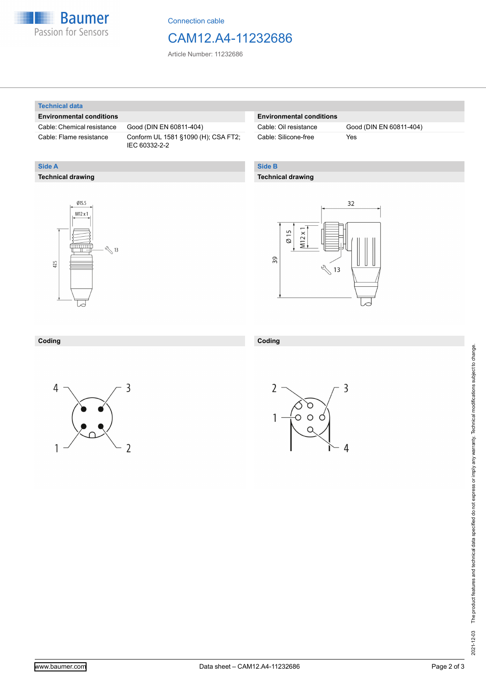

Connection cable

# CAM12.A4-11232686

Article Number: 11232686

#### **Technical data**

**Technical drawing**

**Side A**

### **Environmental conditions**

Cable: Chemical resistance Good (DIN EN 60811-404)

Cable: Flame resistance Conform UL 1581 §1090 (H); CSA FT2; IEC 60332-2-2

# **Environmental conditions**

Cable: Silicone-free Yes

Cable: Oil resistance Good (DIN EN 60811-404)

# **Side B**

**Coding**

## **Technical drawing**





# **Coding**